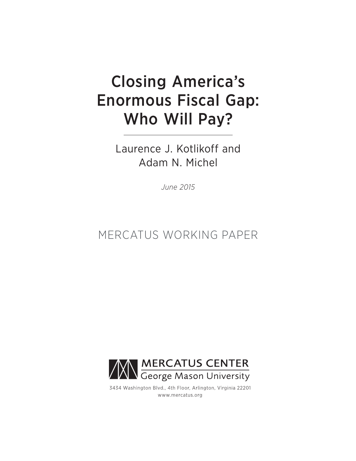# Closing America's Enormous Fiscal Gap: Who Will Pay?

Laurence J. Kotlikoff and Adam N. Michel

*June 2015*

# MERCATUS WORKING PAPER



3434 Washington Blvd., 4th Floor, Arlington, Virginia 22201 www.mercatus.org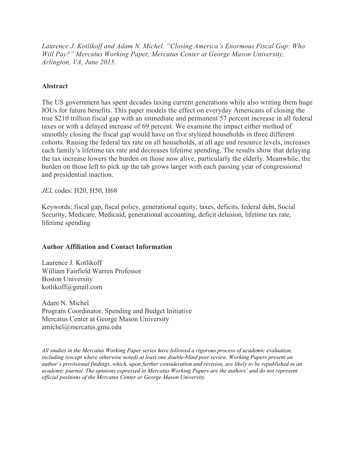*Laurence J. Kotlikoff and Adam N. Michel. "Closing America's Enormous Fiscal Gap: Who Will Pay?" Mercatus Working Paper, Mercatus Center at George Mason University, Arlington, VA, June 2015.*

# **Abstract**

The US government has spent decades taxing current generations while also writing them huge IOUs for future benefits. This paper models the effect on everyday Americans of closing the true \$210 trillion fiscal gap with an immediate and permanent 57 percent increase in all federal taxes or with a delayed increase of 69 percent. We examine the impact either method of smoothly closing the fiscal gap would have on five stylized households in three different cohorts. Raising the federal tax rate on all households, at all age and resource levels, increases each family's lifetime tax rate and decreases lifetime spending. The results show that delaying the tax increase lowers the burden on those now alive, particularly the elderly. Meanwhile, the burden on those left to pick up the tab grows larger with each passing year of congressional and presidential inaction.

*JEL* codes: H20, H50, H68

Keywords: fiscal gap, fiscal policy, generational equity, taxes, deficits, federal debt, Social Security, Medicare, Medicaid, generational accounting, deficit delusion, lifetime tax rate, lifetime spending

# **Author Affiliation and Contact Information**

Laurence J. Kotlikoff William Fairfield Warren Professor Boston University [kotlikoff@gmail.com](mailto:kotlikoff@gmail.com)

Adam N. Michel Program Coordinator, Spending and Budget Initiative Mercatus Center at George Mason University [amichel@mercatus.gmu.edu](mailto:amichel@mercatus.gmu.edu)

*All studies in the Mercatus Working Paper series have followed a rigorous process of academic evaluation, including (except where otherwise noted) at least one double-blind peer review. Working Papers present an* author's provisional findings, which, upon further consideration and revision, are likely to be republished in an *academic journal. The opinions expressed in Mercatus Working Papers are the authors' and do not represent official positions of the Mercatus Center or George Mason University.*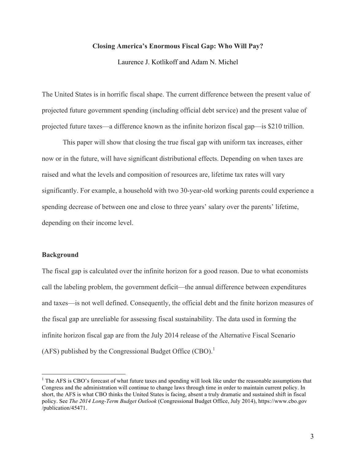### **Closing America's Enormous Fiscal Gap: Who Will Pay?**

Laurence J. Kotlikoff and Adam N. Michel

The United States is in horrific fiscal shape. The current difference between the present value of projected future government spending (including official debt service) and the present value of projected future taxes—a difference known as the infinite horizon fiscal gap—is \$210 trillion.

This paper will show that closing the true fiscal gap with uniform tax increases, either now or in the future, will have significant distributional effects. Depending on when taxes are raised and what the levels and composition of resources are, lifetime tax rates will vary significantly. For example, a household with two 30-year-old working parents could experience a spending decrease of between one and close to three years' salary over the parents' lifetime, depending on their income level.

#### **Background**

The fiscal gap is calculated over the infinite horizon for a good reason. Due to what economists call the labeling problem, the government deficit—the annual difference between expenditures and taxes—is not well defined. Consequently, the official debt and the finite horizon measures of the fiscal gap are unreliable for assessing fiscal sustainability. The data used in forming the infinite horizon fiscal gap are from the July 2014 release of the Alternative Fiscal Scenario (AFS) published by the Congressional Budget Office (CBO).<sup>1</sup>

 $1$ <sup>1</sup> The AFS is CBO's forecast of what future taxes and spending will look like under the reasonable assumptions that Congress and the administration will continue to change laws through time in order to maintain current policy. In short, the AFS is what CBO thinks the United States is facing, absent a truly dramatic and sustained shift in fiscal policy. See *The 2014 Long-Term Budget Outlook* (Congressional Budget Office, July 2014), [https://www.cbo.gov](https://www.cbo.gov/publication/45471) [/publication/45471](https://www.cbo.gov/publication/45471).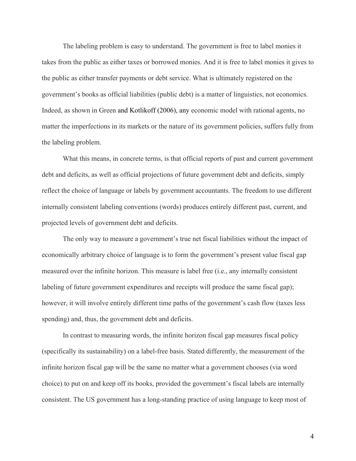The labeling problem is easy to understand. The government is free to label monies it takes from the public as either taxes or borrowed monies. And it is free to label monies it gives to the public as either transfer payments or debt service. What is ultimately registered on the government's books as official liabilities (public debt) is a matter of linguistics, not economics. Indeed, as shown in Green and Kotlikoff (2006), any economic model with rational agents, no matter the imperfections in its markets or the nature of its government policies, suffers fully from the labeling problem.

What this means, in concrete terms, is that official reports of past and current government debt and deficits, as well as official projections of future government debt and deficits, simply reflect the choice of language or labels by government accountants. The freedom to use different internally consistent labeling conventions (words) produces entirely different past, current, and projected levels of government debt and deficits.

The only way to measure a government's true net fiscal liabilities without the impact of economically arbitrary choice of language is to form the government's present value fiscal gap measured over the infinite horizon. This measure is label free (i.e., any internally consistent labeling of future government expenditures and receipts will produce the same fiscal gap); however, it will involve entirely different time paths of the government's cash flow (taxes less spending) and, thus, the government debt and deficits.

In contrast to measuring words, the infinite horizon fiscal gap measures fiscal policy (specifically its sustainability) on a label-free basis. Stated differently, the measurement of the infinite horizon fiscal gap will be the same no matter what a government chooses (via word choice) to put on and keep off its books, provided the government's fiscal labels are internally consistent. The US government has a long-standing practice of using language to keep most of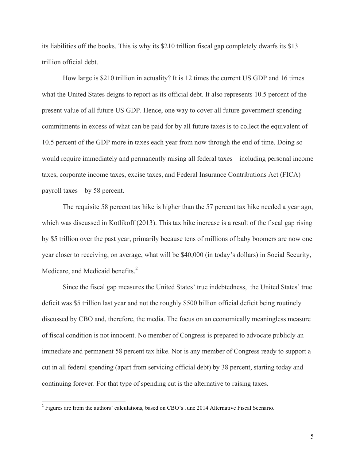its liabilities off the books. This is why its \$210 trillion fiscal gap completely dwarfs its \$13 trillion official debt.

How large is \$210 trillion in actuality? It is 12 times the current US GDP and 16 times what the United States deigns to report as its official debt. It also represents 10.5 percent of the present value of all future US GDP. Hence, one way to cover all future government spending commitments in excess of what can be paid for by all future taxes is to collect the equivalent of 10.5 percent of the GDP more in taxes each year from now through the end of time. Doing so would require immediately and permanently raising all federal taxes—including personal income taxes, corporate income taxes, excise taxes, and Federal Insurance Contributions Act (FICA) payroll taxes—by 58 percent.

The requisite 58 percent tax hike is higher than the 57 percent tax hike needed a year ago, which was discussed in Kotlikoff (2013). This tax hike increase is a result of the fiscal gap rising by \$5 trillion over the past year, primarily because tens of millions of baby boomers are now one year closer to receiving, on average, what will be \$40,000 (in today's dollars) in Social Security, Medicare, and Medicaid benefits.<sup>2</sup>

Since the fiscal gap measures the United States' true indebtedness, the United States' true deficit was \$5 trillion last year and not the roughly \$500 billion official deficit being routinely discussed by CBO and, therefore, the media. The focus on an economically meaningless measure of fiscal condition is not innocent. No member of Congress is prepared to advocate publicly an immediate and permanent 58 percent tax hike. Nor is any member of Congress ready to support a cut in all federal spending (apart from servicing official debt) by 38 percent, starting today and continuing forever. For that type of spending cut is the alternative to raising taxes.

<sup>&</sup>lt;sup>2</sup> Figures are from the authors' calculations, based on CBO's June 2014 Alternative Fiscal Scenario.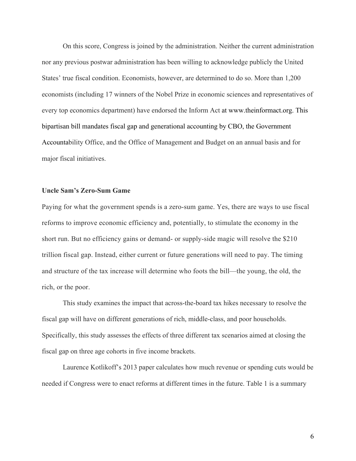On this score, Congress is joined by the administration. Neither the current administration nor any previous postwar administration has been willing to acknowledge publicly the United States' true fiscal condition. Economists, however, are determined to do so. More than 1,200 economists (including 17 winners of the Nobel Prize in economic sciences and representatives of every top economics department) have endorsed the Inform Act at [www.theinformact.org.](http://www.theinformact.org/) This bipartisan bill mandates fiscal gap and generational accounting by CBO, the Government Accountability Office, and the Office of Management and Budget on an annual basis and for major fiscal initiatives.

## **Uncle Sam's Zero-Sum Game**

Paying for what the government spends is a zero-sum game. Yes, there are ways to use fiscal reforms to improve economic efficiency and, potentially, to stimulate the economy in the short run. But no efficiency gains or demand- or supply-side magic will resolve the \$210 trillion fiscal gap. Instead, either current or future generations will need to pay. The timing and structure of the tax increase will determine who foots the bill—the young, the old, the rich, or the poor.

This study examines the impact that across-the-board tax hikes necessary to resolve the fiscal gap will have on different generations of rich, middle-class, and poor households. Specifically, this study assesses the effects of three different tax scenarios aimed at closing the fiscal gap on three age cohorts in five income brackets.

Laurence Kotlikoff's 2013 paper calculates how much revenue or spending cuts would be needed if Congress were to enact reforms at different times in the future. Table 1 is a summary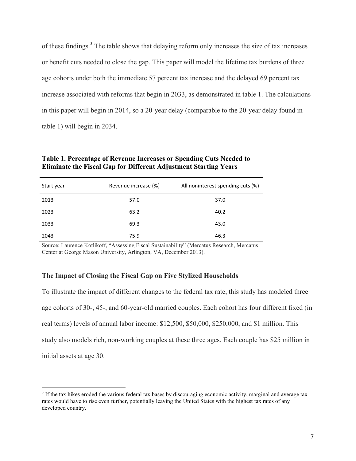of these findings.<sup>3</sup> The table shows that delaying reform only increases the size of tax increases or benefit cuts needed to close the gap. This paper will model the lifetime tax burdens of three age cohorts under both the immediate 57 percent tax increase and the delayed 69 percent tax increase associated with reforms that begin in 2033, as demonstrated in table 1. The calculations in this paper will begin in 2014, so a 20-year delay (comparable to the 20-year delay found in table 1) will begin in 2034.

| Table 1. Percentage of Revenue Increases or Spending Cuts Needed to     |
|-------------------------------------------------------------------------|
| <b>Eliminate the Fiscal Gap for Different Adjustment Starting Years</b> |

| Start year | Revenue increase (%) | All noninterest spending cuts (%) |
|------------|----------------------|-----------------------------------|
| 2013       | 57.0                 | 37.0                              |
| 2023       | 63.2                 | 40.2                              |
| 2033       | 69.3                 | 43.0                              |
| 2043       | 75.9                 | 46.3                              |

Source: Laurence Kotlikoff, "Assessing Fiscal Sustainability" (Mercatus Research, Mercatus Center at George Mason University, Arlington, VA, December 2013).

# **The Impact of Closing the Fiscal Gap on Five Stylized Households**

To illustrate the impact of different changes to the federal tax rate, this study has modeled three age cohorts of 30-, 45-, and 60-year-old married couples. Each cohort has four different fixed (in real terms) levels of annual labor income: \$12,500, \$50,000, \$250,000, and \$1 million. This study also models rich, non-working couples at these three ages. Each couple has \$25 million in initial assets at age 30.

<sup>&</sup>lt;sup>3</sup> If the tax hikes eroded the various federal tax bases by discouraging economic activity, marginal and average tax rates would have to rise even further, potentially leaving the United States with the highest tax rates of any developed country.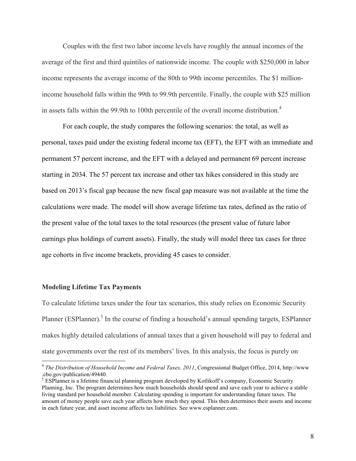Couples with the first two labor income levels have roughly the annual incomes of the average of the first and third quintiles of nationwide income. The couple with \$250,000 in labor income represents the average income of the 80th to 99th income percentiles. The \$1 millionincome household falls within the 99th to 99.9th percentile. Finally, the couple with \$25 million in assets falls within the 99.9th to 100th percentile of the overall income distribution.<sup>4</sup>

For each couple, the study compares the following scenarios: the total, as well as personal, taxes paid under the existing federal income tax (EFT), the EFT with an immediate and permanent 57 percent increase, and the EFT with a delayed and permanent 69 percent increase starting in 2034. The 57 percent tax increase and other tax hikes considered in this study are based on 2013's fiscal gap because the new fiscal gap measure was not available at the time the calculations were made. The model will show average lifetime tax rates, defined as the ratio of the present value of the total taxes to the total resources (the present value of future labor earnings plus holdings of current assets). Finally, the study will model three tax cases for three age cohorts in five income brackets, providing 45 cases to consider.

#### **Modeling Lifetime Tax Payments**

To calculate lifetime taxes under the four tax scenarios, this study relies on Economic Security Planner (ESPlanner).<sup>5</sup> In the course of finding a household's annual spending targets, ESPlanner makes highly detailed calculations of annual taxes that a given household will pay to federal and state governments over the rest of its members' lives. In this analysis, the focus is purely on

 <sup>4</sup> *The Distribution of Household Income and Federal Taxes, <sup>2011</sup>*, Congressional Budget Office, 2014, [http://www](http://www.cbo.gov/publication/49440)

 $5$  ESPlanner is a lifetime financial planning program developed by Kotlikoff's company, Economic Security Planning, Inc. The program determines how much households should spend and save each year to achieve a stable living standard per household member. Calculating spending is important for understanding future taxes. The amount of money people save each year affects how much they spend. This then determines their assets and income in each future year, and asset income affects tax liabilities. See [www.esplanner.com.](http://www.esplanner.com/)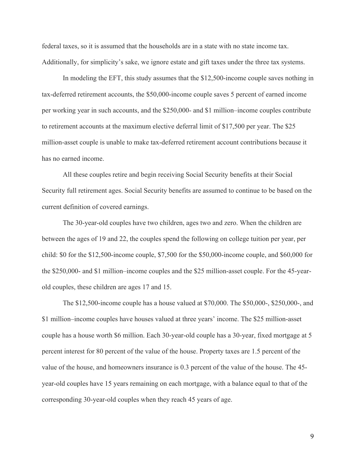federal taxes, so it is assumed that the households are in a state with no state income tax. Additionally, for simplicity's sake, we ignore estate and gift taxes under the three tax systems.

In modeling the EFT, this study assumes that the \$12,500-income couple saves nothing in tax-deferred retirement accounts, the \$50,000-income couple saves 5 percent of earned income per working year in such accounts, and the \$250,000- and \$1 million–income couples contribute to retirement accounts at the maximum elective deferral limit of \$17,500 per year. The \$25 million-asset couple is unable to make tax-deferred retirement account contributions because it has no earned income.

All these couples retire and begin receiving Social Security benefits at their Social Security full retirement ages. Social Security benefits are assumed to continue to be based on the current definition of covered earnings.

The 30-year-old couples have two children, ages two and zero. When the children are between the ages of 19 and 22, the couples spend the following on college tuition per year, per child: \$0 for the \$12,500-income couple, \$7,500 for the \$50,000-income couple, and \$60,000 for the \$250,000- and \$1 million–income couples and the \$25 million-asset couple. For the 45-yearold couples, these children are ages 17 and 15.

The \$12,500-income couple has a house valued at \$70,000. The \$50,000-, \$250,000-, and \$1 million–income couples have houses valued at three years' income. The \$25 million-asset couple has a house worth \$6 million. Each 30-year-old couple has a 30-year, fixed mortgage at 5 percent interest for 80 percent of the value of the house. Property taxes are 1.5 percent of the value of the house, and homeowners insurance is 0.3 percent of the value of the house. The 45 year-old couples have 15 years remaining on each mortgage, with a balance equal to that of the corresponding 30-year-old couples when they reach 45 years of age.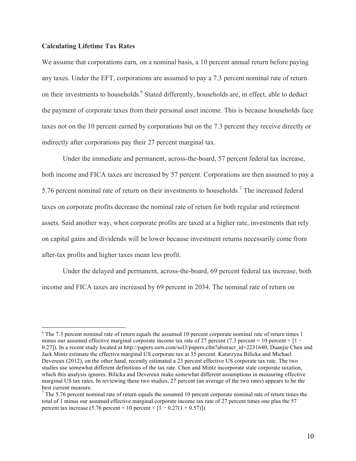# **Calculating Lifetime Tax Rates**

We assume that corporations earn, on a nominal basis, a 10 percent annual return before paying any taxes. Under the EFT, corporations are assumed to pay a 7.3 percent nominal rate of return on their investments to households.<sup>6</sup> Stated differently, households are, in effect, able to deduct the payment of corporate taxes from their personal asset income. This is because households face taxes not on the 10 percent earned by corporations but on the 7.3 percent they receive directly or indirectly after corporations pay their 27 percent marginal tax.

Under the immediate and permanent, across-the-board, 57 percent federal tax increase, both income and FICA taxes are increased by 57 percent. Corporations are then assumed to pay a 5.76 percent nominal rate of return on their investments to households.<sup>7</sup> The increased federal taxes on corporate profits decrease the nominal rate of return for both regular and retirement assets. Said another way, when corporate profits are taxed at a higher rate, investments that rely on capital gains and dividends will be lower because investment returns necessarily come from after-tax profits and higher taxes mean less profit.

Under the delayed and permanent, across-the-board, 69 percent federal tax increase, both income and FICA taxes are increased by 69 percent in 2034. The nominal rate of return on

 $6$  The 7.3 percent nominal rate of return equals the assumed 10 percent corporate nominal rate of return times 1 minus our assumed effective marginal corporate income tax rate of 27 percent (7.3 percent = 10 percent  $\times$  [1 – 0.27]). In a recent study located at [http://papers.ssrn.com/sol3/papers.cfm?abstract\\_id=2231640](http://papers.ssrn.com/sol3/papers.cfm?abstract_id=2231640), Duanjie Chen and Jack Mintz estimate the effective marginal US corporate tax at 35 percent. Katarzyna Bilicka and Michael Devereux (2012), on the other hand, recently estimated a 23 percent effective US corporate tax rate. The two studies use somewhat different definitions of the tax rate. Chen and Mintz incorporate state corporate taxation, which this analysis ignores. Bilicka and Devereux make somewhat different assumptions in measuring effective marginal US tax rates. In reviewing these two studies, 27 percent (an average of the two rates) appears to be the best current measure.<br><sup>7</sup> The 5.76 percent nominal rate of return equals the assumed 10 percent corporate nominal rate of return times the

total of 1 minus our assumed effective marginal corporate income tax rate of 27 percent times one plus the 57 percent tax increase (5.76 percent = 10 percent  $\times$  [1 – 0.27(1 + 0.57)]).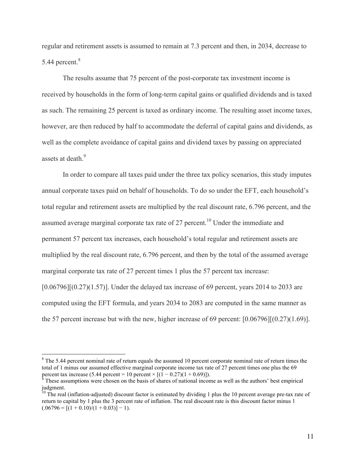regular and retirement assets is assumed to remain at 7.3 percent and then, in 2034, decrease to 5.44 percent. 8

The results assume that 75 percent of the post-corporate tax investment income is received by households in the form of long-term capital gains or qualified dividends and is taxed as such. The remaining 25 percent is taxed as ordinary income. The resulting asset income taxes, however, are then reduced by half to accommodate the deferral of capital gains and dividends, as well as the complete avoidance of capital gains and dividend taxes by passing on appreciated assets at death<sup>9</sup>

In order to compare all taxes paid under the three tax policy scenarios, this study imputes annual corporate taxes paid on behalf of households. To do so under the EFT, each household's total regular and retirement assets are multiplied by the real discount rate, 6.796 percent, and the assumed average marginal corporate tax rate of 27 percent.<sup>10</sup> Under the immediate and permanent 57 percent tax increases, each household's total regular and retirement assets are multiplied by the real discount rate, 6.796 percent, and then by the total of the assumed average marginal corporate tax rate of 27 percent times 1 plus the 57 percent tax increase:  $[0.06796][(0.27)(1.57)]$ . Under the delayed tax increase of 69 percent, years 2014 to 2033 are computed using the EFT formula, and years 2034 to 2083 are computed in the same manner as the 57 percent increase but with the new, higher increase of 69 percent: [0.06796][(0.27)(1.69)].

<sup>&</sup>lt;sup>8</sup> The 5.44 percent nominal rate of return equals the assumed 10 percent corporate nominal rate of return times the total of 1 minus our assumed effective marginal corporate income tax rate of 27 percent times one plus the 69 percent tax increase (5.44 percent = 10 percent  $\times$  [(1 – 0.27)(1 + 0.69)]).

These assumptions were chosen on the basis of shares of national income as well as the authors' best empirical judgment.

<sup>&</sup>lt;sup>10</sup> The real (inflation-adjusted) discount factor is estimated by dividing 1 plus the 10 percent average pre-tax rate of return to capital by 1 plus the 3 percent rate of inflation. The real discount rate is this discount factor minus 1  $(.06796 = [(1 + 0.10)/(1 + 0.03)] - 1).$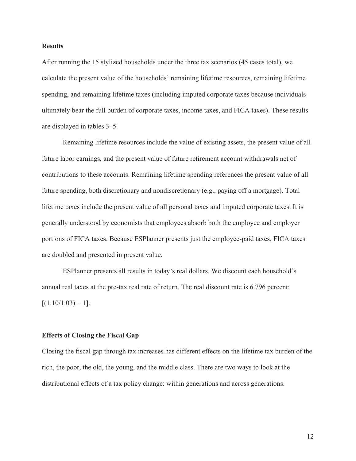## **Results**

After running the 15 stylized households under the three tax scenarios (45 cases total), we calculate the present value of the households' remaining lifetime resources, remaining lifetime spending, and remaining lifetime taxes (including imputed corporate taxes because individuals ultimately bear the full burden of corporate taxes, income taxes, and FICA taxes). These results are displayed in tables 3–5.

Remaining lifetime resources include the value of existing assets, the present value of all future labor earnings, and the present value of future retirement account withdrawals net of contributions to these accounts. Remaining lifetime spending references the present value of all future spending, both discretionary and nondiscretionary (e.g., paying off a mortgage). Total lifetime taxes include the present value of all personal taxes and imputed corporate taxes. It is generally understood by economists that employees absorb both the employee and employer portions of FICA taxes. Because ESPlanner presents just the employee-paid taxes, FICA taxes are doubled and presented in present value.

ESPlanner presents all results in today's real dollars. We discount each household's annual real taxes at the pre-tax real rate of return. The real discount rate is 6.796 percent:  $[(1.10/1.03) - 1]$ .

#### **Effects of Closing the Fiscal Gap**

Closing the fiscal gap through tax increases has different effects on the lifetime tax burden of the rich, the poor, the old, the young, and the middle class. There are two ways to look at the distributional effects of a tax policy change: within generations and across generations.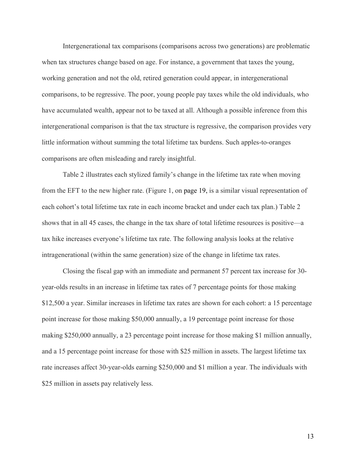Intergenerational tax comparisons (comparisons across two generations) are problematic when tax structures change based on age. For instance, a government that taxes the young, working generation and not the old, retired generation could appear, in intergenerational comparisons, to be regressive. The poor, young people pay taxes while the old individuals, who have accumulated wealth, appear not to be taxed at all. Although a possible inference from this intergenerational comparison is that the tax structure is regressive, the comparison provides very little information without summing the total lifetime tax burdens. Such apples-to-oranges comparisons are often misleading and rarely insightful.

Table 2 illustrates each stylized family's change in the lifetime tax rate when moving from the EFT to the new higher rate. (Figure 1, on page 19, is a similar visual representation of each cohort's total lifetime tax rate in each income bracket and under each tax plan.) Table 2 shows that in all 45 cases, the change in the tax share of total lifetime resources is positive—a tax hike increases everyone's lifetime tax rate. The following analysis looks at the relative intragenerational (within the same generation) size of the change in lifetime tax rates.

Closing the fiscal gap with an immediate and permanent 57 percent tax increase for 30 year-olds results in an increase in lifetime tax rates of 7 percentage points for those making \$12,500 a year. Similar increases in lifetime tax rates are shown for each cohort: a 15 percentage point increase for those making \$50,000 annually, a 19 percentage point increase for those making \$250,000 annually, a 23 percentage point increase for those making \$1 million annually, and a 15 percentage point increase for those with \$25 million in assets. The largest lifetime tax rate increases affect 30-year-olds earning \$250,000 and \$1 million a year. The individuals with \$25 million in assets pay relatively less.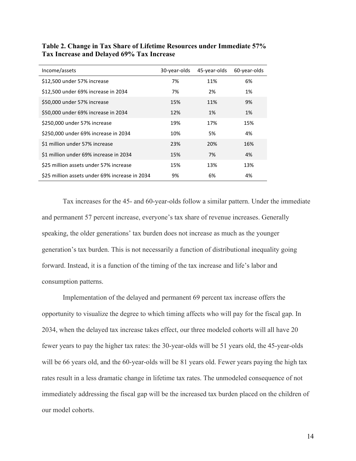| Income/assets                                  | 30-year-olds | 45-year-olds | 60-year-olds |
|------------------------------------------------|--------------|--------------|--------------|
| \$12,500 under 57% increase                    | 7%           | 11%          | 6%           |
| \$12,500 under 69% increase in 2034            | 7%           | 2%           | 1%           |
| \$50,000 under 57% increase                    | 15%          | 11%          | 9%           |
| \$50,000 under 69% increase in 2034            | 12%          | 1%           | 1%           |
| \$250,000 under 57% increase                   | 19%          | 17%          | 15%          |
| \$250,000 under 69% increase in 2034           | 10%          | 5%           | 4%           |
| \$1 million under 57% increase                 | 23%          | 20%          | 16%          |
| \$1 million under 69% increase in 2034         | 15%          | 7%           | 4%           |
| \$25 million assets under 57% increase         | 15%          | 13%          | 13%          |
| \$25 million assets under 69% increase in 2034 | 9%           | 6%           | 4%           |

**Table 2. Change in Tax Share of Lifetime Resources under Immediate 57% Tax Increase and Delayed 69% Tax Increase**

Tax increases for the 45- and 60-year-olds follow a similar pattern. Under the immediate and permanent 57 percent increase, everyone's tax share of revenue increases. Generally speaking, the older generations' tax burden does not increase as much as the younger generation's tax burden. This is not necessarily a function of distributional inequality going forward. Instead, it is a function of the timing of the tax increase and life's labor and consumption patterns.

Implementation of the delayed and permanent 69 percent tax increase offers the opportunity to visualize the degree to which timing affects who will pay for the fiscal gap. In 2034, when the delayed tax increase takes effect, our three modeled cohorts will all have 20 fewer years to pay the higher tax rates: the 30-year-olds will be 51 years old, the 45-year-olds will be 66 years old, and the 60-year-olds will be 81 years old. Fewer years paying the high tax rates result in a less dramatic change in lifetime tax rates. The unmodeled consequence of not immediately addressing the fiscal gap will be the increased tax burden placed on the children of our model cohorts.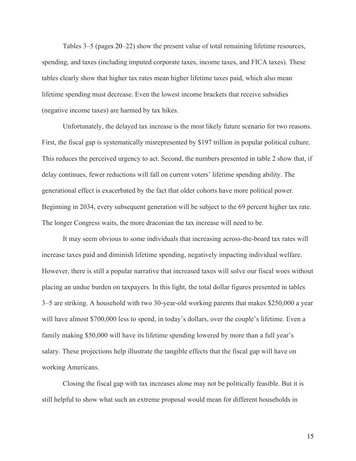Tables 3–5 (pages 20–22) show the present value of total remaining lifetime resources, spending, and taxes (including imputed corporate taxes, income taxes, and FICA taxes). These tables clearly show that higher tax rates mean higher lifetime taxes paid, which also mean lifetime spending must decrease. Even the lowest income brackets that receive subsidies (negative income taxes) are harmed by tax hikes.

Unfortunately, the delayed tax increase is the most likely future scenario for two reasons. First, the fiscal gap is systematically misrepresented by \$197 trillion in popular political culture. This reduces the perceived urgency to act. Second, the numbers presented in table 2 show that, if delay continues, fewer reductions will fall on current voters' lifetime spending ability. The generational effect is exacerbated by the fact that older cohorts have more political power. Beginning in 2034, every subsequent generation will be subject to the 69 percent higher tax rate. The longer Congress waits, the more draconian the tax increase will need to be.

It may seem obvious to some individuals that increasing across-the-board tax rates will increase taxes paid and diminish lifetime spending, negatively impacting individual welfare. However, there is still a popular narrative that increased taxes will solve our fiscal woes without placing an undue burden on taxpayers. In this light, the total dollar figures presented in tables 3–5 are striking. A household with two 30-year-old working parents that makes \$250,000 a year will have almost \$700,000 less to spend, in today's dollars, over the couple's lifetime. Even a family making \$50,000 will have its lifetime spending lowered by more than a full year's salary. These projections help illustrate the tangible effects that the fiscal gap will have on working Americans.

Closing the fiscal gap with tax increases alone may not be politically feasible. But it is still helpful to show what such an extreme proposal would mean for different households in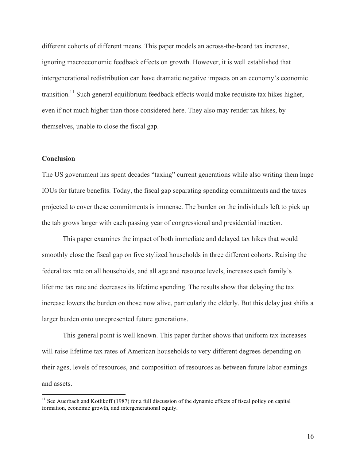different cohorts of different means. This paper models an across-the-board tax increase, ignoring macroeconomic feedback effects on growth. However, it is well established that intergenerational redistribution can have dramatic negative impacts on an economy's economic transition.<sup>11</sup> Such general equilibrium feedback effects would make requisite tax hikes higher, even if not much higher than those considered here. They also may render tax hikes, by themselves, unable to close the fiscal gap.

# **Conclusion**

The US government has spent decades "taxing" current generations while also writing them huge IOUs for future benefits. Today, the fiscal gap separating spending commitments and the taxes projected to cover these commitments is immense. The burden on the individuals left to pick up the tab grows larger with each passing year of congressional and presidential inaction.

This paper examines the impact of both immediate and delayed tax hikes that would smoothly close the fiscal gap on five stylized households in three different cohorts. Raising the federal tax rate on all households, and all age and resource levels, increases each family's lifetime tax rate and decreases its lifetime spending. The results show that delaying the tax increase lowers the burden on those now alive, particularly the elderly. But this delay just shifts a larger burden onto unrepresented future generations.

This general point is well known. This paper further shows that uniform tax increases will raise lifetime tax rates of American households to very different degrees depending on their ages, levels of resources, and composition of resources as between future labor earnings and assets.

<sup>&</sup>lt;sup>11</sup> See Auerbach and Kotlikoff (1987) for a full discussion of the dynamic effects of fiscal policy on capital formation, economic growth, and intergenerational equity.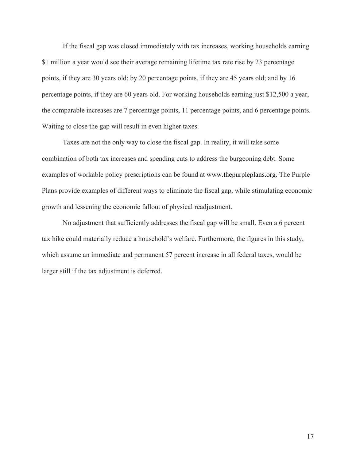If the fiscal gap was closed immediately with tax increases, working households earning \$1 million a year would see their average remaining lifetime tax rate rise by 23 percentage points, if they are 30 years old; by 20 percentage points, if they are 45 years old; and by 16 percentage points, if they are 60 years old. For working households earning just \$12,500 a year, the comparable increases are 7 percentage points, 11 percentage points, and 6 percentage points. Waiting to close the gap will result in even higher taxes.

Taxes are not the only way to close the fiscal gap. In reality, it will take some combination of both tax increases and spending cuts to address the burgeoning debt. Some examples of workable policy prescriptions can be found at [www.thepurpleplans.org](http://www.thepurpleplans.org/). The Purple Plans provide examples of different ways to eliminate the fiscal gap, while stimulating economic growth and lessening the economic fallout of physical readjustment.

No adjustment that sufficiently addresses the fiscal gap will be small. Even a 6 percent tax hike could materially reduce a household's welfare. Furthermore, the figures in this study, which assume an immediate and permanent 57 percent increase in all federal taxes, would be larger still if the tax adjustment is deferred.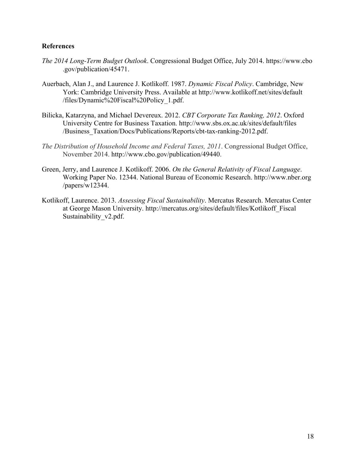# **References**

- *The 2014 Long-Term Budget Outlook*. Congressional Budget Office, July 2014. [https://www.cbo](https://www.cbo.gov/publication/45471) [.gov/publication/45471](https://www.cbo.gov/publication/45471).
- Auerbach, Alan J., and Laurence J. Kotlikoff. 1987. *Dynamic Fiscal Policy*. Cambridge, New York: Cambridge University Press. Available at [http://www.kotlikoff.net/sites/default](http://www.kotlikoff.net/sites/default/files/Dynamic%20Fiscal%20Policy_1.pdf) [/files/Dynamic%20Fiscal%20Policy\\_1.pdf.](http://www.kotlikoff.net/sites/default/files/Dynamic%20Fiscal%20Policy_1.pdf)
- Bilicka, Katarzyna, and Michael Devereux. 2012. *CBT Corporate Tax Ranking, 2012*. Oxford University Centre for Business Taxation. [http://www.sbs.ox.ac.uk/sites/default/files](http://www.sbs.ox.ac.uk/sites/default/files/Business_Taxation/Docs/Publications/Reports/cbt-tax-ranking-2012.pdf) [/Business\\_Taxation/Docs/Publications/Reports/cbt-tax-ranking-2012.pdf.](http://www.sbs.ox.ac.uk/sites/default/files/Business_Taxation/Docs/Publications/Reports/cbt-tax-ranking-2012.pdf)
- *The Distribution of Household Income and Federal Taxes, 2011*. Congressional Budget Office, November 2014. [http://www.cbo.gov/publication/49440.](http://www.cbo.gov/publication/49440)
- Green, Jerry, and Laurence J. Kotlikoff. 2006. *On the General Relativity of Fiscal Language*. Working Paper No. 12344. National Bureau of Economic Research. [http://www.nber.org](http://www.nber.org/papers/w12344) [/papers/w12344.](http://www.nber.org/papers/w12344)
- Kotlikoff, Laurence. 2013. *Assessing Fiscal Sustainability*. Mercatus Research. Mercatus Center at George Mason University. [http://mercatus.org/sites/default/files/Kotlikoff\\_Fiscal](http://mercatus.org/sites/default/files/Kotlikoff_FiscalSustainability_v2.pdf) Sustainability v2.pdf.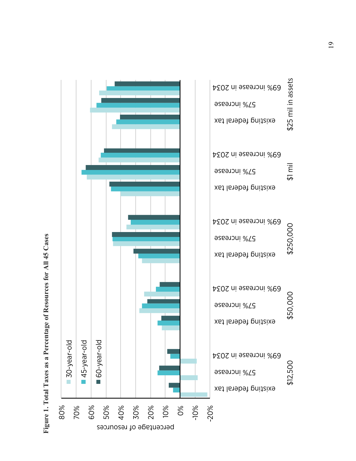Figure 1. Total Taxes as a Percentage of Resources for All 45 Cases **Figure 1. Total Taxes as a Percentage of Resources for All 45 Cases**

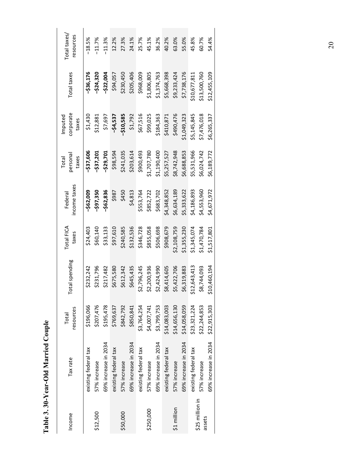Table 3.30-Year-Old Married Couple **Table 3. 30-Year-Old Married Couple**

| Income                    | Tax rate             | resources<br>Total | Total spending | Total FICA<br>taxes | income taxes<br>Federal | persona<br>taxes<br>Total | corporate<br>Imputed<br>taxes | Total taxes  | Total taxes<br>resources |
|---------------------------|----------------------|--------------------|----------------|---------------------|-------------------------|---------------------------|-------------------------------|--------------|--------------------------|
|                           | existing federal tax | \$196,066          | \$232,242      | \$24,403            | -\$62,009               | -\$37,606                 | \$1,430                       | -\$36,176    | $-18.5%$                 |
| \$12,500                  | 57% increase         | \$207,476          | \$231,796      | \$60,140            | $-597,350$              | $-537,201$                | \$12,881                      | $-524,320$   | $-11.7%$                 |
|                           | 69% increase in 2034 | \$195,478          | \$217,482      | \$33,133            | $-562,836$              | $-529,701$                | \$7,697                       | $-522,004$   | $-11.3%$                 |
|                           | existing federal tax | \$769,637          | \$675,580      | \$97,610            | \$987                   | \$98,594                  | $-54,537$                     | \$94,057     | 12.2%                    |
| \$50,000                  | 57% increase         | \$842,792          | \$612,342      | \$240,585           | \$450                   | \$241,035                 | $-510,585$                    | \$230,450    | 27.3%                    |
|                           | 69% increase in 2034 | \$850,841          | \$645,435      | \$132,536           | \$4,813                 | \$203,614                 | \$1,792                       | \$205,406    | 24.1%                    |
|                           | existing federal tax | \$3,764,254        | \$2,796,245    | \$346,728           | \$553,764               | \$900,493                 | \$67,516                      | \$968,009    | 25.7%                    |
| \$250,000                 | 57% increase         | \$4,007,741        | \$2,200,936    | \$855,058           | \$852,722               | \$1,707,780               | \$99,025                      | \$1,806,805  | 45.1%                    |
|                           | 69% increase in 2034 | \$3,799,753        | \$2,424,990    | \$506,698           | \$683,702               | \$1,190,400               | \$184,363                     | \$1,374,763  | 36.2%                    |
|                           | existing federal tax | \$14,083,003       | \$8,414,605    | \$908,679           | \$4,348,852             | \$5,257,527               | \$410,871                     | \$5,668,398  | 40.2%                    |
| \$1 million               | 57% increase         | \$14,656,130       | \$5,422,706    | \$2,108,759         | \$6,634,189             | \$8,742,948               | \$490,476                     | \$9,233,424  | 63.0%                    |
|                           | 69% increase in 2034 | \$14,058,059       | 5,319,883<br>ū | \$1,355,230         | \$5,333,622             | \$6,688,853               | \$1,049,323                   | \$7,738,176  | 55.0%                    |
|                           | existing federal tax | \$23,321,224       | \$12,643,413   | \$1,345,074         | \$4,186,893             | \$5,531,966               | \$5,145,845                   | \$10,677,811 | 45.8%                    |
| \$25 million in<br>assets | 57% increase         | \$22,244,853       | \$8,744,093    | \$1,470,784         | \$4,553,960             | \$6,024,742               | \$7,476,018                   | \$13,500,760 | 60.7%                    |
|                           | 69% increase in 2034 | \$22,915,303       | \$10,460,194   | \$1,517,801         | \$4,671,972             | \$6,189,772               | \$6,265,337                   | \$12,455,109 | 54.4%                    |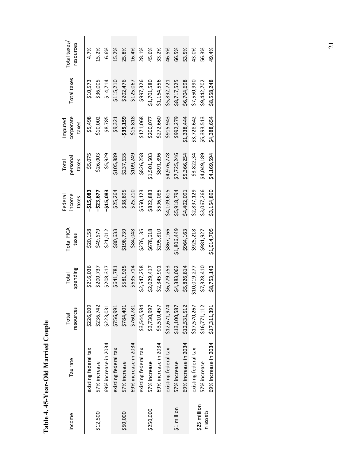Table 4. 45-Year-Old Married Couple **Table 4. 45-Year-Old Married Couple**

| Income                    | Tax rate             | resources<br>Total | spending<br>Total | Total FICA<br>taxes | income<br>Federal<br>taxes | persona<br>taxes<br>Total | corporate<br>Imputed<br>taxes | Total taxes | Total taxes<br>resources |
|---------------------------|----------------------|--------------------|-------------------|---------------------|----------------------------|---------------------------|-------------------------------|-------------|--------------------------|
|                           | existing federal tax | \$226,609          | \$216,036         | \$20,158            | $-515,083$                 | \$5,075                   | \$5,498                       | \$10,573    | 4.7%                     |
| \$12,500                  | 57% increase         | \$236,742          | \$200,737         | \$49,679            | -\$23,677                  | \$26,003                  | \$10,002                      | \$36,005    | 15.2%                    |
|                           | 69% increase in 2034 | \$223,031          | \$208,317         | \$21,012            | $-515,083$                 | \$5,929                   | \$8,785                       | \$14,714    | 6.6%                     |
|                           | existing federal tax | \$756,991          | \$641,781         | \$80,633            | \$25,264                   | \$105,889                 | \$9,321                       | \$115,210   | 15.2%                    |
| \$50,000                  | 57% increase         | \$784,401          | \$581,925         | \$198,739           | \$38,895                   | \$237,635                 | $-535,159$                    | \$202,476   | 25.8%                    |
|                           | 69% increase in 2034 | \$760,781          | \$635,714         | \$84,048            | \$25,210                   | \$109,249                 | \$15,818                      | \$125,067   | 16.4%                    |
|                           | existing federal tax | \$3,544,584        | \$2,547,258       | \$276,135           | \$550,123                  | \$826,258                 | \$171,068                     | \$997,326   | 28.1%                    |
| \$250,000                 | 57% increase         | \$3,730,997        | \$2,029,417       | \$678,618           | \$822,883                  | \$1,501,503               | \$200,077                     | \$1,701,580 | 45.6%                    |
|                           | 69% increase in 2034 | \$3,510,457        | \$2,345,901       | \$295,810           | \$596,085                  | \$891,896                 | \$272,660                     | \$1,164,556 | 33.2%                    |
|                           | existing federal tax | \$12,671,974       | \$6,779,253       | \$867,166           | \$4,109,615                | \$4,976,778               | \$915,943                     | \$5,892,721 | 46.5%                    |
| \$1 million               | 57% increase         | \$13,100,587       | \$4,383,062       | \$1,806,449         | \$5,918,794                | \$7,725,246               | \$992,279                     | \$8,717,525 | 66.5%                    |
|                           | 69% increase in 2034 | \$12,531,512       | \$5,826,814       | \$964,163           | \$4,402,091                | \$5,366,254               | \$1,338,444                   | \$6,704,698 | 53.5%                    |
|                           | existing federal tax | \$17,570,267       | \$10,019,277      | \$925,218           | \$2,897,129                | \$3,822,34                | \$3,728,642                   | \$7,550,990 | 43.0%                    |
| \$25 million<br>in assets | 57% increase         | \$16,771,112       | \$7,328,410       | \$981,927           | \$3,067,266                | \$4,049,189               | \$5,393,513                   | \$9,442,702 | 56.3%                    |
|                           | 69% increase in 2034 | \$17,311,391       | \$8,753,143       | \$1,014,705         | \$3,154,890                | \$4,169,594               | \$4,388,654                   | \$8,558,248 | 49.4%                    |